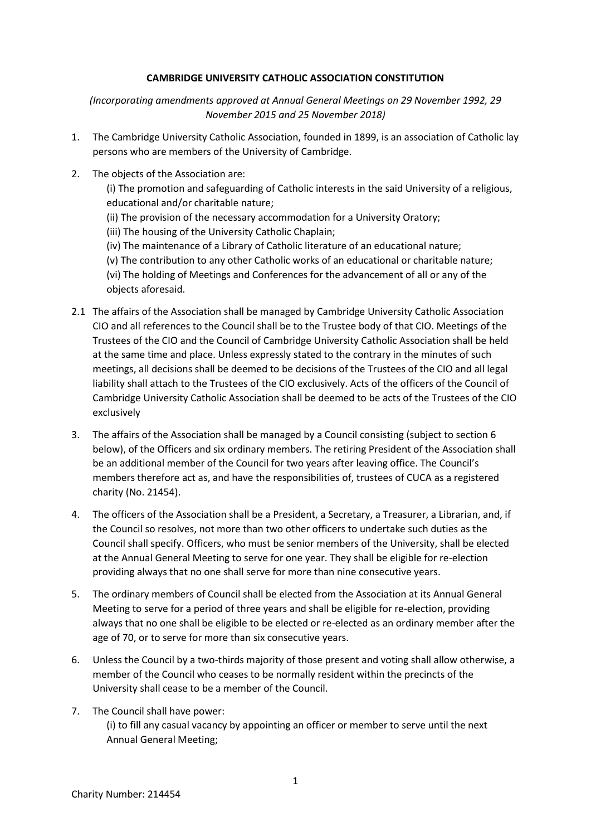## **CAMBRIDGE UNIVERSITY CATHOLIC ASSOCIATION CONSTITUTION**

*(Incorporating amendments approved at Annual General Meetings on 29 November 1992, 29 November 2015 and 25 November 2018)*

- 1. The Cambridge University Catholic Association, founded in 1899, is an association of Catholic lay persons who are members of the University of Cambridge.
- 2. The objects of the Association are:
	- (i) The promotion and safeguarding of Catholic interests in the said University of a religious, educational and/or charitable nature;
	- (ii) The provision of the necessary accommodation for a University Oratory;
	- (iii) The housing of the University Catholic Chaplain;
	- (iv) The maintenance of a Library of Catholic literature of an educational nature;
	- (v) The contribution to any other Catholic works of an educational or charitable nature;

(vi) The holding of Meetings and Conferences for the advancement of all or any of the objects aforesaid.

- 2.1 The affairs of the Association shall be managed by Cambridge University Catholic Association CIO and all references to the Council shall be to the Trustee body of that CIO. Meetings of the Trustees of the CIO and the Council of Cambridge University Catholic Association shall be held at the same time and place. Unless expressly stated to the contrary in the minutes of such meetings, all decisions shall be deemed to be decisions of the Trustees of the CIO and all legal liability shall attach to the Trustees of the CIO exclusively. Acts of the officers of the Council of Cambridge University Catholic Association shall be deemed to be acts of the Trustees of the CIO exclusively
- 3. The affairs of the Association shall be managed by a Council consisting (subject to section 6 below), of the Officers and six ordinary members. The retiring President of the Association shall be an additional member of the Council for two years after leaving office. The Council's members therefore act as, and have the responsibilities of, trustees of CUCA as a registered charity (No. 21454).
- 4. The officers of the Association shall be a President, a Secretary, a Treasurer, a Librarian, and, if the Council so resolves, not more than two other officers to undertake such duties as the Council shall specify. Officers, who must be senior members of the University, shall be elected at the Annual General Meeting to serve for one year. They shall be eligible for re-election providing always that no one shall serve for more than nine consecutive years.
- 5. The ordinary members of Council shall be elected from the Association at its Annual General Meeting to serve for a period of three years and shall be eligible for re-election, providing always that no one shall be eligible to be elected or re-elected as an ordinary member after the age of 70, or to serve for more than six consecutive years.
- 6. Unless the Council by a two-thirds majority of those present and voting shall allow otherwise, a member of the Council who ceases to be normally resident within the precincts of the University shall cease to be a member of the Council.
- 7. The Council shall have power: (i) to fill any casual vacancy by appointing an officer or member to serve until the next Annual General Meeting;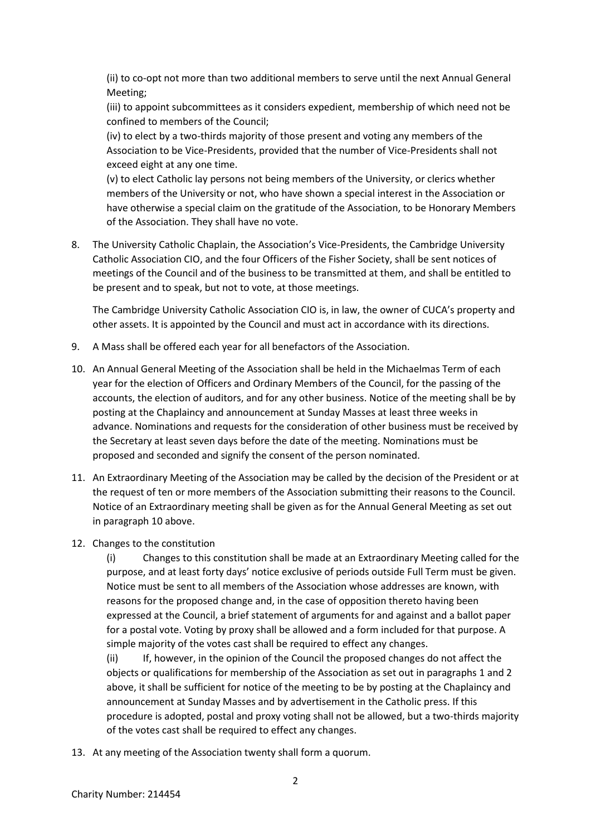(ii) to co-opt not more than two additional members to serve until the next Annual General Meeting;

(iii) to appoint subcommittees as it considers expedient, membership of which need not be confined to members of the Council;

(iv) to elect by a two-thirds majority of those present and voting any members of the Association to be Vice-Presidents, provided that the number of Vice-Presidents shall not exceed eight at any one time.

(v) to elect Catholic lay persons not being members of the University, or clerics whether members of the University or not, who have shown a special interest in the Association or have otherwise a special claim on the gratitude of the Association, to be Honorary Members of the Association. They shall have no vote.

8. The University Catholic Chaplain, the Association's Vice-Presidents, the Cambridge University Catholic Association CIO, and the four Officers of the Fisher Society, shall be sent notices of meetings of the Council and of the business to be transmitted at them, and shall be entitled to be present and to speak, but not to vote, at those meetings.

The Cambridge University Catholic Association CIO is, in law, the owner of CUCA's property and other assets. It is appointed by the Council and must act in accordance with its directions.

- 9. A Mass shall be offered each year for all benefactors of the Association.
- 10. An Annual General Meeting of the Association shall be held in the Michaelmas Term of each year for the election of Officers and Ordinary Members of the Council, for the passing of the accounts, the election of auditors, and for any other business. Notice of the meeting shall be by posting at the Chaplaincy and announcement at Sunday Masses at least three weeks in advance. Nominations and requests for the consideration of other business must be received by the Secretary at least seven days before the date of the meeting. Nominations must be proposed and seconded and signify the consent of the person nominated.
- 11. An Extraordinary Meeting of the Association may be called by the decision of the President or at the request of ten or more members of the Association submitting their reasons to the Council. Notice of an Extraordinary meeting shall be given as for the Annual General Meeting as set out in paragraph 10 above.
- 12. Changes to the constitution

(i) Changes to this constitution shall be made at an Extraordinary Meeting called for the purpose, and at least forty days' notice exclusive of periods outside Full Term must be given. Notice must be sent to all members of the Association whose addresses are known, with reasons for the proposed change and, in the case of opposition thereto having been expressed at the Council, a brief statement of arguments for and against and a ballot paper for a postal vote. Voting by proxy shall be allowed and a form included for that purpose. A simple majority of the votes cast shall be required to effect any changes.

(ii) If, however, in the opinion of the Council the proposed changes do not affect the objects or qualifications for membership of the Association as set out in paragraphs 1 and 2 above, it shall be sufficient for notice of the meeting to be by posting at the Chaplaincy and announcement at Sunday Masses and by advertisement in the Catholic press. If this procedure is adopted, postal and proxy voting shall not be allowed, but a two-thirds majority of the votes cast shall be required to effect any changes.

13. At any meeting of the Association twenty shall form a quorum.